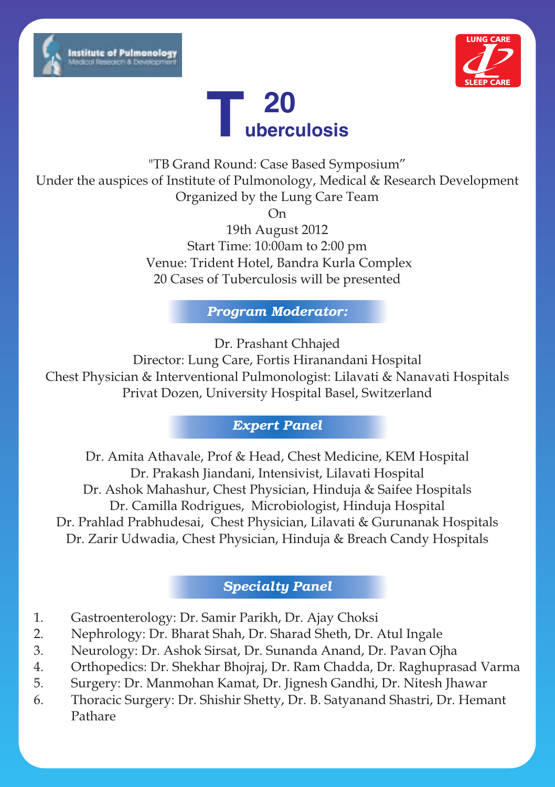





"TB Grand Round: Case Based Symposium" Under the auspices of Institute of Pulmonology, Medical & Research Development Organized by the Lung Care Team

On

19th August 2012 Start Time: 10:00am to 2:00 pm Venue: Trident Hotel, Bandra Kurla Complex 20 Cases of Tuberculosis will be presented

*Program Moderator:*

Dr. Prashant Chhajed

Director: Lung Care, Fortis Hiranandani Hospital Chest Physician & Interventional Pulmonologist: Lilavati & Nanavati Hospitals Privat Dozen, University Hospital Basel, Switzerland

### *Expert Panel*

Dr. Amita Athavale, Prof & Head, Chest Medicine, KEM Hospital Dr. Prakash Jiandani, Intensivist, Lilavati Hospital Dr. Ashok Mahashur, Chest Physician, Hinduja & Saifee Hospitals Dr. Camilla Rodrigues, Microbiologist, Hinduja Hospital Dr. Prahlad Prabhudesai, Chest Physician, Lilavati & Gurunanak Hospitals Dr. Zarir Udwadia, Chest Physician, Hinduja & Breach Candy Hospitals

### *Specialty Panel*

- 1. Gastroenterology: Dr. Samir Parikh, Dr. Ajay Choksi
- 2. Nephrology: Dr. Bharat Shah, Dr. Sharad Sheth, Dr. Atul Ingale
- 3. Neurology: Dr. Ashok Sirsat, Dr. Sunanda Anand, Dr. Pavan Ojha
- 4. Orthopedics: Dr. Shekhar Bhojraj, Dr. Ram Chadda, Dr. Raghuprasad Varma
- 5. Surgery: Dr. Manmohan Kamat, Dr. Jignesh Gandhi, Dr. Nitesh Jhawar
- 6. Thoracic Surgery: Dr. Shishir Shetty, Dr. B. Satyanand Shastri, Dr. Hemant Pathare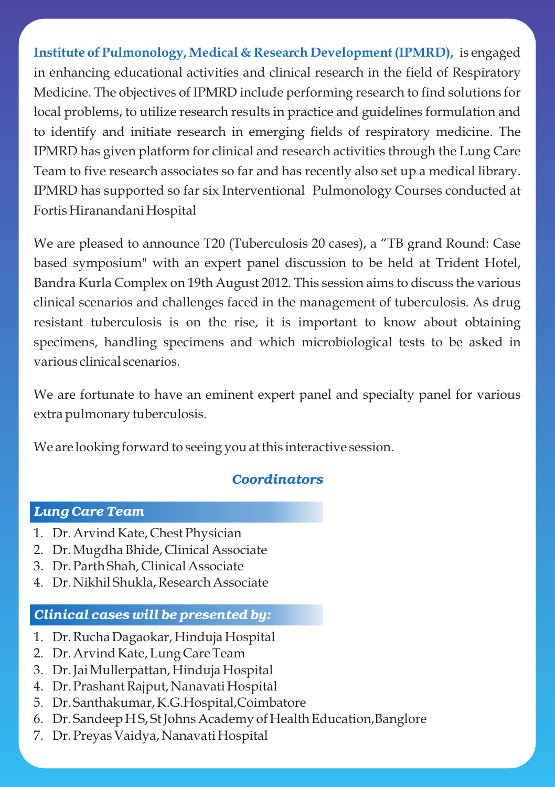**Institute of Pulmonology, Medical & Research Development (IPMRD),**  is engaged in enhancing educational activities and clinical research in the field of Respiratory Medicine. The objectives of IPMRD include performing research to find solutions for local problems, to utilize research results in practice and guidelines formulation and to identify and initiate research in emerging fields of respiratory medicine. The IPMRD has given platform for clinical and research activities through the Lung Care Team to five research associates so far and has recently also set up a medical library. IPMRD has supported so far six Interventional Pulmonology Courses conducted at Fortis Hiranandani Hospital

We are pleased to announce T20 (Tuberculosis 20 cases), a "TB grand Round: Case based symposium" with an expert panel discussion to be held at Trident Hotel, Bandra Kurla Complex on 19th August 2012. This session aims to discuss the various clinical scenarios and challenges faced in the management of tuberculosis. As drug resistant tuberculosis is on the rise, it is important to know about obtaining specimens, handling specimens and which microbiological tests to be asked in various clinical scenarios.

We are fortunate to have an eminent expert panel and specialty panel for various extra pulmonary tuberculosis.

We are looking forward to seeing you at this interactive session.

### *Coordinators*

#### *Lung Care Team*

- 1. Dr. Arvind Kate, Chest Physician
- 2. Dr. Mugdha Bhide, Clinical Associate
- 3. Dr. Parth Shah, Clinical Associate
- 4. Dr. Nikhil Shukla, Research Associate

#### *Clinical cases will be presented by:*

- 1. Dr. Rucha Dagaokar, Hinduja Hospital
- 2. Dr. Arvind Kate, Lung Care Team
- 3. Dr. Jai Mullerpattan, Hinduja Hospital
- 4. Dr. Prashant Rajput, Nanavati Hospital
- 5. Dr. Santhakumar, K.G.Hospital,Coimbatore
- 6. Dr. Sandeep H S, St Johns Academy of Health Education,Banglore
- 7. Dr. Preyas Vaidya, Nanavati Hospital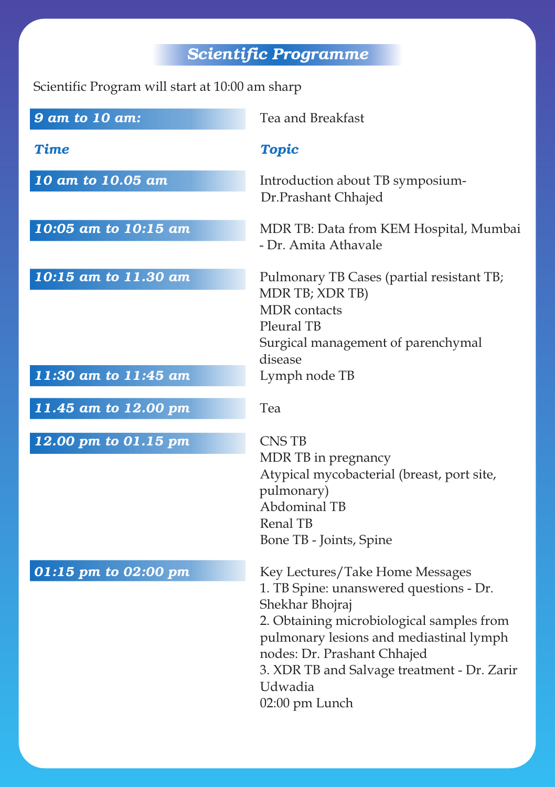# *Scientific Programme*

Scientific Program will start at 10:00 am sharp

| 9 am to 10 am:       | Tea and Breakfast                                                                                                                                                                                                                                                              |
|----------------------|--------------------------------------------------------------------------------------------------------------------------------------------------------------------------------------------------------------------------------------------------------------------------------|
| Time                 | <b>Topic</b>                                                                                                                                                                                                                                                                   |
| 10 am to 10.05 am    | Introduction about TB symposium-<br>Dr.Prashant Chhajed                                                                                                                                                                                                                        |
| 10:05 am to 10:15 am | MDR TB: Data from KEM Hospital, Mumbai<br>- Dr. Amita Athavale                                                                                                                                                                                                                 |
| 10:15 am to 11.30 am | Pulmonary TB Cases (partial resistant TB;<br>MDR TB; XDR TB)<br><b>MDR</b> contacts<br>Pleural TB<br>Surgical management of parenchymal<br>disease                                                                                                                             |
| 11:30 am to 11:45 am | Lymph node TB                                                                                                                                                                                                                                                                  |
| 11.45 am to 12.00 pm | Tea                                                                                                                                                                                                                                                                            |
| 12.00 pm to 01.15 pm | <b>CNSTB</b><br>MDR TB in pregnancy<br>Atypical mycobacterial (breast, port site,<br>pulmonary)<br>Abdominal TB<br><b>Renal TB</b><br>Bone TB - Joints, Spine                                                                                                                  |
| 01:15 pm to 02:00 pm | Key Lectures/Take Home Messages<br>1. TB Spine: unanswered questions - Dr.<br>Shekhar Bhojraj<br>2. Obtaining microbiological samples from<br>pulmonary lesions and mediastinal lymph<br>nodes: Dr. Prashant Chhajed<br>3. XDR TB and Salvage treatment - Dr. Zarir<br>Udwadia |

02:00 pm Lunch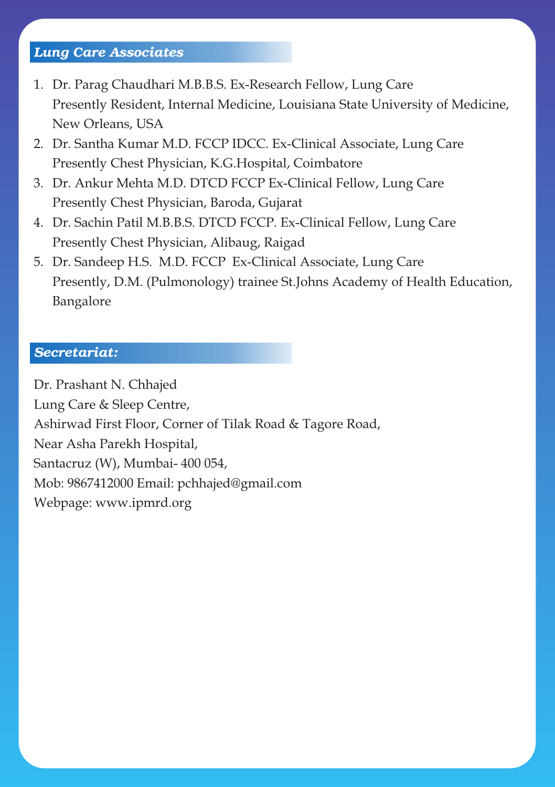## *Lung Care Associates*

- 1. Dr. Parag Chaudhari M.B.B.S. Ex-Research Fellow, Lung Care Presently Resident, Internal Medicine, Louisiana State University of Medicine, New Orleans, USA
- 2. Dr. Santha Kumar M.D. FCCP IDCC. Ex-Clinical Associate, Lung Care Presently Chest Physician, K.G.Hospital, Coimbatore
- 3. Dr. Ankur Mehta M.D. DTCD FCCP Ex-Clinical Fellow, Lung Care Presently Chest Physician, Baroda, Gujarat
- 4. Dr. Sachin Patil M.B.B.S. DTCD FCCP. Ex-Clinical Fellow, Lung Care Presently Chest Physician, Alibaug, Raigad
- 5. Dr. Sandeep H.S. M.D. FCCP Ex-Clinical Associate, Lung Care Presently, D.M. (Pulmonology) trainee St.Johns Academy of Health Education, Bangalore

#### *Secretariat:*

Dr. Prashant N. Chhajed Lung Care & Sleep Centre, Ashirwad First Floor, Corner of Tilak Road & Tagore Road, Near Asha Parekh Hospital, Santacruz (W), Mumbai- 400 054, Mob: 9867412000 Email: pchhajed@gmail.com Webpage: www.ipmrd.org